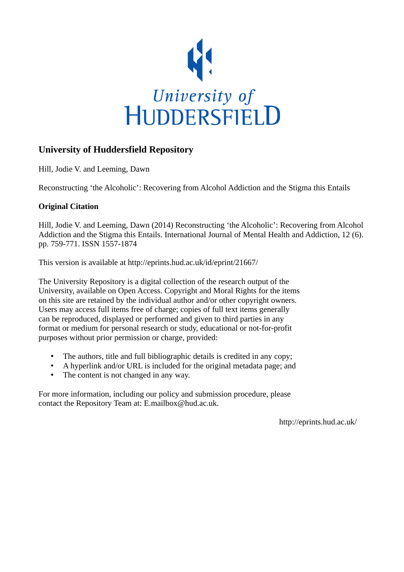

## **University of Huddersfield Repository**

Hill, Jodie V. and Leeming, Dawn

Reconstructing 'the Alcoholic': Recovering from Alcohol Addiction and the Stigma this Entails

## **Original Citation**

Hill, Jodie V. and Leeming, Dawn (2014) Reconstructing 'the Alcoholic': Recovering from Alcohol Addiction and the Stigma this Entails. International Journal of Mental Health and Addiction, 12 (6). pp. 759-771. ISSN 1557-1874

This version is available at http://eprints.hud.ac.uk/id/eprint/21667/

The University Repository is a digital collection of the research output of the University, available on Open Access. Copyright and Moral Rights for the items on this site are retained by the individual author and/or other copyright owners. Users may access full items free of charge; copies of full text items generally can be reproduced, displayed or performed and given to third parties in any format or medium for personal research or study, educational or not-for-profit purposes without prior permission or charge, provided:

- The authors, title and full bibliographic details is credited in any copy;
- A hyperlink and/or URL is included for the original metadata page; and
- The content is not changed in any way.

For more information, including our policy and submission procedure, please contact the Repository Team at: E.mailbox@hud.ac.uk.

http://eprints.hud.ac.uk/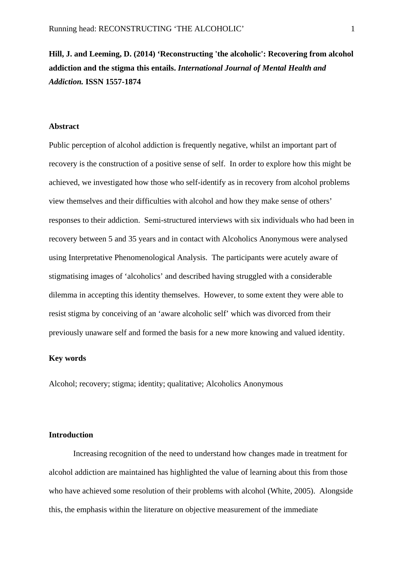# **Hill, J. and Leeming, D. (2014) 'Reconstructing 'the alcoholic': Recovering from alcohol addiction and the stigma this entails.** *International Journal of Mental Health and Addiction.* **ISSN 1557-1874**

#### **Abstract**

Public perception of alcohol addiction is frequently negative, whilst an important part of recovery is the construction of a positive sense of self. In order to explore how this might be achieved, we investigated how those who self-identify as in recovery from alcohol problems view themselves and their difficulties with alcohol and how they make sense of others' responses to their addiction. Semi-structured interviews with six individuals who had been in recovery between 5 and 35 years and in contact with Alcoholics Anonymous were analysed using Interpretative Phenomenological Analysis. The participants were acutely aware of stigmatising images of 'alcoholics' and described having struggled with a considerable dilemma in accepting this identity themselves. However, to some extent they were able to resist stigma by conceiving of an 'aware alcoholic self' which was divorced from their previously unaware self and formed the basis for a new more knowing and valued identity.

#### **Key words**

Alcohol; recovery; stigma; identity; qualitative; Alcoholics Anonymous

#### **Introduction**

Increasing recognition of the need to understand how changes made in treatment for alcohol addiction are maintained has highlighted the value of learning about this from those who have achieved some resolution of their problems with alcohol (White, 2005). Alongside this, the emphasis within the literature on objective measurement of the immediate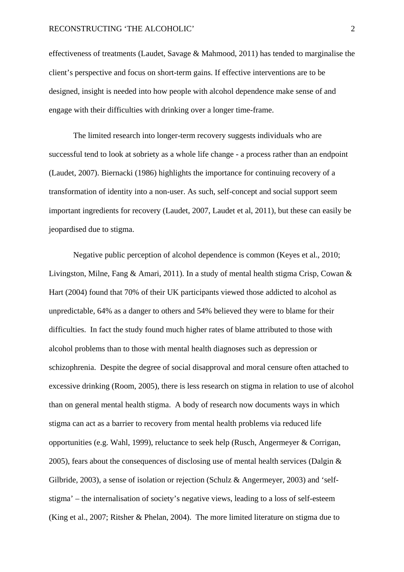#### RECONSTRUCTING 'THE ALCOHOLIC' 2

effectiveness of treatments (Laudet, Savage & Mahmood, 2011) has tended to marginalise the client's perspective and focus on short-term gains. If effective interventions are to be designed, insight is needed into how people with alcohol dependence make sense of and engage with their difficulties with drinking over a longer time-frame.

The limited research into longer-term recovery suggests individuals who are successful tend to look at sobriety as a whole life change - a process rather than an endpoint (Laudet, 2007). Biernacki (1986) highlights the importance for continuing recovery of a transformation of identity into a non-user. As such, self-concept and social support seem important ingredients for recovery (Laudet, 2007, Laudet et al, 2011), but these can easily be jeopardised due to stigma.

Negative public perception of alcohol dependence is common (Keyes et al., 2010; Livingston, Milne, Fang & Amari, 2011). In a study of mental health stigma Crisp, Cowan & Hart (2004) found that 70% of their UK participants viewed those addicted to alcohol as unpredictable, 64% as a danger to others and 54% believed they were to blame for their difficulties. In fact the study found much higher rates of blame attributed to those with alcohol problems than to those with mental health diagnoses such as depression or schizophrenia. Despite the degree of social disapproval and moral censure often attached to excessive drinking (Room, 2005), there is less research on stigma in relation to use of alcohol than on general mental health stigma. A body of research now documents ways in which stigma can act as a barrier to recovery from mental health problems via reduced life opportunities (e.g. Wahl, 1999), reluctance to seek help (Rusch, Angermeyer & Corrigan, 2005), fears about the consequences of disclosing use of mental health services (Dalgin  $\&$ Gilbride, 2003), a sense of isolation or rejection (Schulz & Angermeyer, 2003) and 'selfstigma' – the internalisation of society's negative views, leading to a loss of self-esteem (King et al., 2007; Ritsher & Phelan, 2004). The more limited literature on stigma due to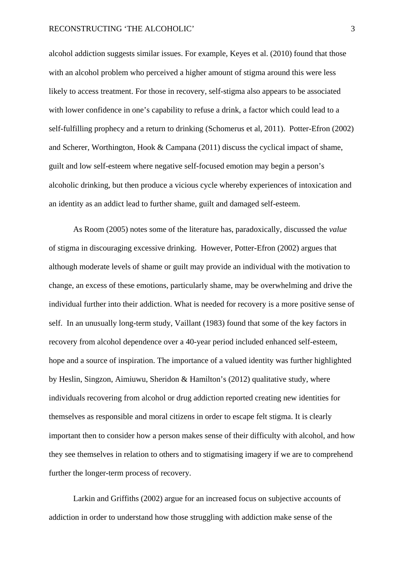alcohol addiction suggests similar issues. For example, Keyes et al. (2010) found that those with an alcohol problem who perceived a higher amount of stigma around this were less likely to access treatment. For those in recovery, self-stigma also appears to be associated with lower confidence in one's capability to refuse a drink, a factor which could lead to a self-fulfilling prophecy and a return to drinking (Schomerus et al, 2011). Potter-Efron (2002) and Scherer, Worthington, Hook & Campana (2011) discuss the cyclical impact of shame, guilt and low self-esteem where negative self-focused emotion may begin a person's alcoholic drinking, but then produce a vicious cycle whereby experiences of intoxication and an identity as an addict lead to further shame, guilt and damaged self-esteem.

As Room (2005) notes some of the literature has, paradoxically, discussed the *value* of stigma in discouraging excessive drinking. However, Potter-Efron (2002) argues that although moderate levels of shame or guilt may provide an individual with the motivation to change, an excess of these emotions, particularly shame, may be overwhelming and drive the individual further into their addiction. What is needed for recovery is a more positive sense of self. In an unusually long-term study, Vaillant (1983) found that some of the key factors in recovery from alcohol dependence over a 40-year period included enhanced self-esteem, hope and a source of inspiration. The importance of a valued identity was further highlighted by Heslin, Singzon, Aimiuwu, Sheridon & Hamilton's (2012) qualitative study, where individuals recovering from alcohol or drug addiction reported creating new identities for themselves as responsible and moral citizens in order to escape felt stigma. It is clearly important then to consider how a person makes sense of their difficulty with alcohol, and how they see themselves in relation to others and to stigmatising imagery if we are to comprehend further the longer-term process of recovery.

Larkin and Griffiths (2002) argue for an increased focus on subjective accounts of addiction in order to understand how those struggling with addiction make sense of the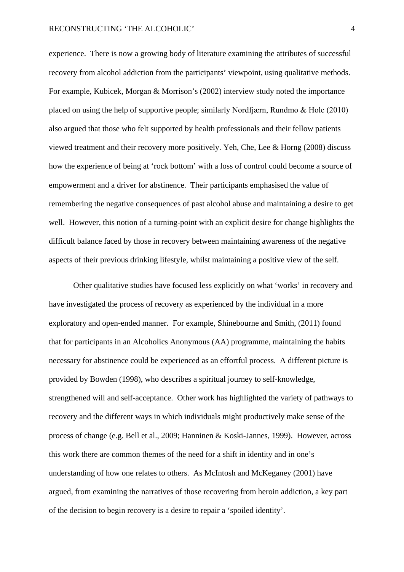experience. There is now a growing body of literature examining the attributes of successful recovery from alcohol addiction from the participants' viewpoint, using qualitative methods. For example, Kubicek, Morgan & Morrison's (2002) interview study noted the importance placed on using the help of supportive people; similarly Nordfjærn, Rundmo  $\&$  Hole (2010) also argued that those who felt supported by health professionals and their fellow patients viewed treatment and their recovery more positively. Yeh, Che, Lee & Horng (2008) discuss how the experience of being at 'rock bottom' with a loss of control could become a source of empowerment and a driver for abstinence. Their participants emphasised the value of remembering the negative consequences of past alcohol abuse and maintaining a desire to get well. However, this notion of a turning-point with an explicit desire for change highlights the difficult balance faced by those in recovery between maintaining awareness of the negative aspects of their previous drinking lifestyle, whilst maintaining a positive view of the self.

Other qualitative studies have focused less explicitly on what 'works' in recovery and have investigated the process of recovery as experienced by the individual in a more exploratory and open-ended manner.For example, Shinebourne and Smith, (2011) found that for participants in an Alcoholics Anonymous (AA) programme, maintaining the habits necessary for abstinence could be experienced as an effortful process. A different picture is provided by Bowden (1998), who describes a spiritual journey to self-knowledge, strengthened will and self-acceptance. Other work has highlighted the variety of pathways to recovery and the different ways in which individuals might productively make sense of the process of change (e.g. Bell et al., 2009; Hanninen & Koski-Jannes, 1999). However, across this work there are common themes of the need for a shift in identity and in one's understanding of how one relates to others. As McIntosh and McKeganey (2001) have argued, from examining the narratives of those recovering from heroin addiction, a key part of the decision to begin recovery is a desire to repair a 'spoiled identity'.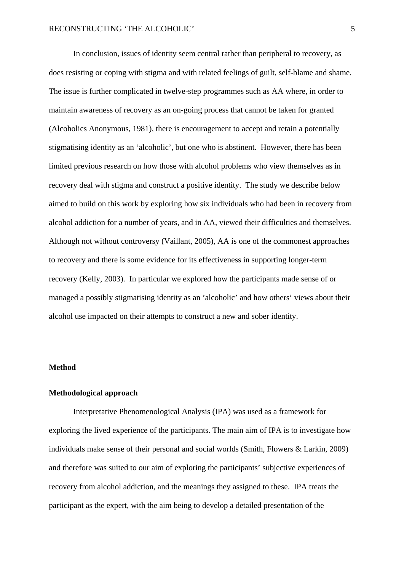In conclusion, issues of identity seem central rather than peripheral to recovery, as does resisting or coping with stigma and with related feelings of guilt, self-blame and shame. The issue is further complicated in twelve-step programmes such as AA where, in order to maintain awareness of recovery as an on-going process that cannot be taken for granted (Alcoholics Anonymous, 1981), there is encouragement to accept and retain a potentially stigmatising identity as an 'alcoholic', but one who is abstinent. However, there has been limited previous research on how those with alcohol problems who view themselves as in recovery deal with stigma and construct a positive identity. The study we describe below aimed to build on this work by exploring how six individuals who had been in recovery from alcohol addiction for a number of years, and in AA, viewed their difficulties and themselves. Although not without controversy (Vaillant, 2005), AA is one of the commonest approaches to recovery and there is some evidence for its effectiveness in supporting longer-term recovery (Kelly, 2003). In particular we explored how the participants made sense of or managed a possibly stigmatising identity as an 'alcoholic' and how others' views about their alcohol use impacted on their attempts to construct a new and sober identity.

#### **Method**

#### **Methodological approach**

Interpretative Phenomenological Analysis (IPA) was used as a framework for exploring the lived experience of the participants. The main aim of IPA is to investigate how individuals make sense of their personal and social worlds (Smith, Flowers & Larkin, 2009) and therefore was suited to our aim of exploring the participants' subjective experiences of recovery from alcohol addiction, and the meanings they assigned to these. IPA treats the participant as the expert, with the aim being to develop a detailed presentation of the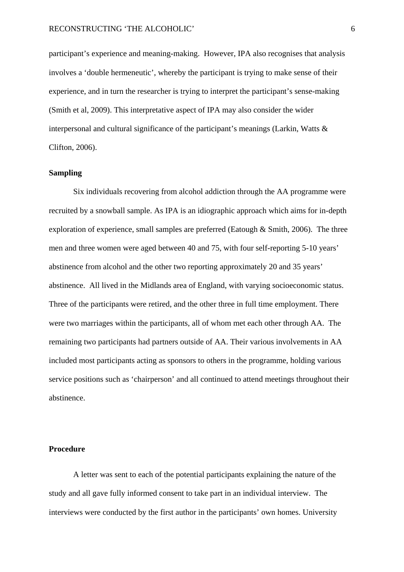participant's experience and meaning-making. However, IPA also recognises that analysis involves a 'double hermeneutic', whereby the participant is trying to make sense of their experience, and in turn the researcher is trying to interpret the participant's sense-making (Smith et al, 2009). This interpretative aspect of IPA may also consider the wider interpersonal and cultural significance of the participant's meanings (Larkin, Watts & Clifton, 2006).

#### **Sampling**

Six individuals recovering from alcohol addiction through the AA programme were recruited by a snowball sample. As IPA is an idiographic approach which aims for in-depth exploration of experience, small samples are preferred (Eatough & Smith, 2006). The three men and three women were aged between 40 and 75, with four self-reporting 5-10 years' abstinence from alcohol and the other two reporting approximately 20 and 35 years' abstinence. All lived in the Midlands area of England, with varying socioeconomic status. Three of the participants were retired, and the other three in full time employment. There were two marriages within the participants, all of whom met each other through AA. The remaining two participants had partners outside of AA. Their various involvements in AA included most participants acting as sponsors to others in the programme, holding various service positions such as 'chairperson' and all continued to attend meetings throughout their abstinence.

#### **Procedure**

A letter was sent to each of the potential participants explaining the nature of the study and all gave fully informed consent to take part in an individual interview. The interviews were conducted by the first author in the participants' own homes. University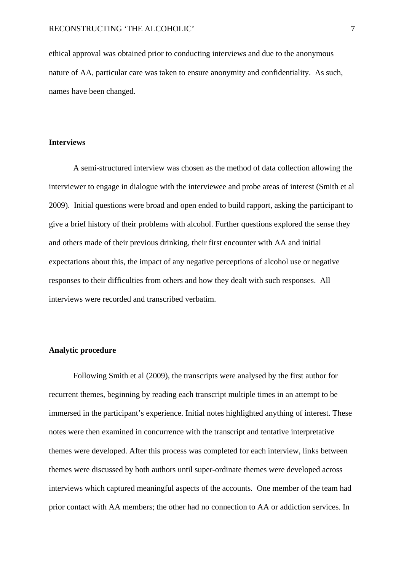ethical approval was obtained prior to conducting interviews and due to the anonymous nature of AA, particular care was taken to ensure anonymity and confidentiality. As such, names have been changed.

## **Interviews**

A semi-structured interview was chosen as the method of data collection allowing the interviewer to engage in dialogue with the interviewee and probe areas of interest (Smith et al 2009). Initial questions were broad and open ended to build rapport, asking the participant to give a brief history of their problems with alcohol. Further questions explored the sense they and others made of their previous drinking, their first encounter with AA and initial expectations about this, the impact of any negative perceptions of alcohol use or negative responses to their difficulties from others and how they dealt with such responses. All interviews were recorded and transcribed verbatim.

#### **Analytic procedure**

Following Smith et al (2009), the transcripts were analysed by the first author for recurrent themes, beginning by reading each transcript multiple times in an attempt to be immersed in the participant's experience. Initial notes highlighted anything of interest. These notes were then examined in concurrence with the transcript and tentative interpretative themes were developed. After this process was completed for each interview, links between themes were discussed by both authors until super-ordinate themes were developed across interviews which captured meaningful aspects of the accounts. One member of the team had prior contact with AA members; the other had no connection to AA or addiction services. In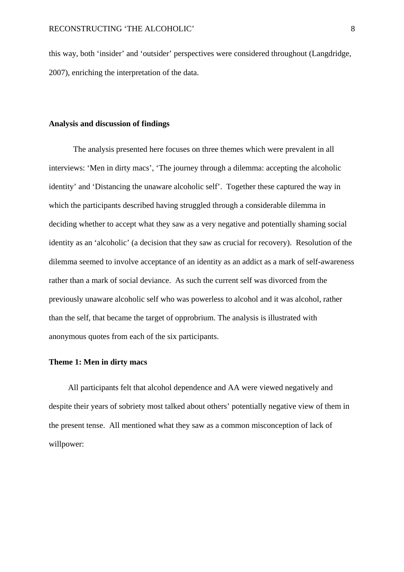this way, both 'insider' and 'outsider' perspectives were considered throughout (Langdridge, 2007), enriching the interpretation of the data.

#### **Analysis and discussion of findings**

The analysis presented here focuses on three themes which were prevalent in all interviews: 'Men in dirty macs', 'The journey through a dilemma: accepting the alcoholic identity' and 'Distancing the unaware alcoholic self'. Together these captured the way in which the participants described having struggled through a considerable dilemma in deciding whether to accept what they saw as a very negative and potentially shaming social identity as an 'alcoholic' (a decision that they saw as crucial for recovery). Resolution of the dilemma seemed to involve acceptance of an identity as an addict as a mark of self-awareness rather than a mark of social deviance. As such the current self was divorced from the previously unaware alcoholic self who was powerless to alcohol and it was alcohol, rather than the self, that became the target of opprobrium. The analysis is illustrated with anonymous quotes from each of the six participants.

### **Theme 1: Men in dirty macs**

All participants felt that alcohol dependence and AA were viewed negatively and despite their years of sobriety most talked about others' potentially negative view of them in the present tense. All mentioned what they saw as a common misconception of lack of willpower: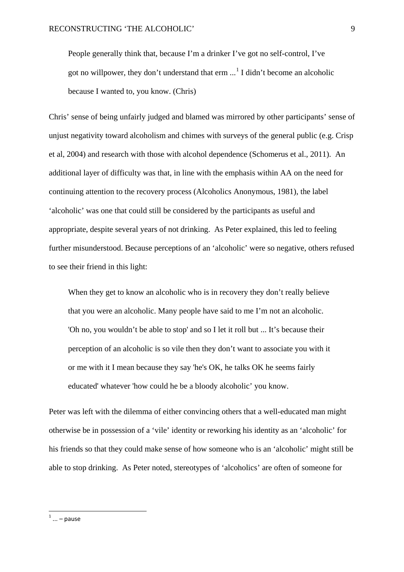People generally think that, because I'm a drinker I've got no self-control, I've got no willpower, they don't understand that  $erm \dots$ <sup>[1](#page-9-0)</sup> I didn't become an alcoholic because I wanted to, you know. (Chris)

Chris' sense of being unfairly judged and blamed was mirrored by other participants' sense of unjust negativity toward alcoholism and chimes with surveys of the general public (e.g. Crisp et al, 2004) and research with those with alcohol dependence (Schomerus et al., 2011). An additional layer of difficulty was that, in line with the emphasis within AA on the need for continuing attention to the recovery process (Alcoholics Anonymous, 1981), the label 'alcoholic' was one that could still be considered by the participants as useful and appropriate, despite several years of not drinking. As Peter explained, this led to feeling further misunderstood. Because perceptions of an 'alcoholic' were so negative, others refused to see their friend in this light:

When they get to know an alcoholic who is in recovery they don't really believe that you were an alcoholic. Many people have said to me I'm not an alcoholic. 'Oh no, you wouldn't be able to stop' and so I let it roll but ... It's because their perception of an alcoholic is so vile then they don't want to associate you with it or me with it I mean because they say 'he's OK, he talks OK he seems fairly educated' whatever 'how could he be a bloody alcoholic' you know.

Peter was left with the dilemma of either convincing others that a well-educated man might otherwise be in possession of a 'vile' identity or reworking his identity as an 'alcoholic' for his friends so that they could make sense of how someone who is an 'alcoholic' might still be able to stop drinking. As Peter noted, stereotypes of 'alcoholics' are often of someone for

<span id="page-9-0"></span> $1$   $\ldots$  – pause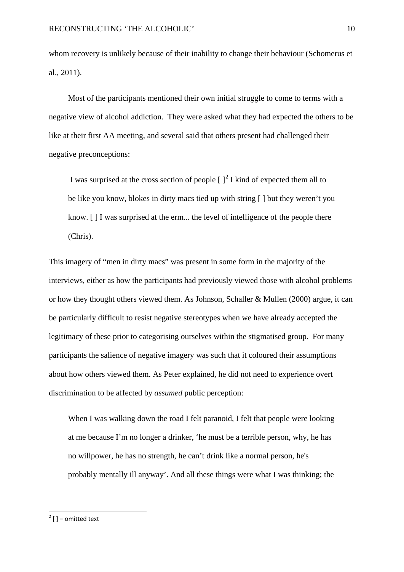whom recovery is unlikely because of their inability to change their behaviour (Schomerus et al., 2011).

Most of the participants mentioned their own initial struggle to come to terms with a negative view of alcohol addiction. They were asked what they had expected the others to be like at their first AA meeting, and several said that others present had challenged their negative preconceptions:

I was surprised at the cross section of people  $\lceil$   $\rceil^2$  $\rceil^2$  I kind of expected them all to be like you know, blokes in dirty macs tied up with string [ ] but they weren't you know. [ ] I was surprised at the erm... the level of intelligence of the people there (Chris).

This imagery of "men in dirty macs" was present in some form in the majority of the interviews, either as how the participants had previously viewed those with alcohol problems or how they thought others viewed them. As Johnson, Schaller & Mullen (2000) argue, it can be particularly difficult to resist negative stereotypes when we have already accepted the legitimacy of these prior to categorising ourselves within the stigmatised group. For many participants the salience of negative imagery was such that it coloured their assumptions about how others viewed them. As Peter explained, he did not need to experience overt discrimination to be affected by *assumed* public perception:

When I was walking down the road I felt paranoid, I felt that people were looking at me because I'm no longer a drinker, 'he must be a terrible person, why, he has no willpower, he has no strength, he can't drink like a normal person, he's probably mentally ill anyway'. And all these things were what I was thinking; the

**.** 

<span id="page-10-0"></span> $2^{2}$  [ ] – omitted text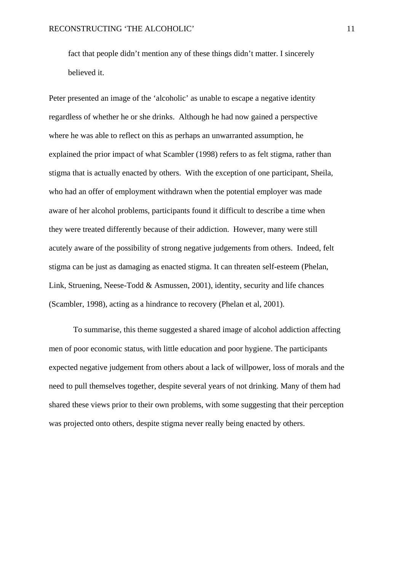fact that people didn't mention any of these things didn't matter. I sincerely believed it.

Peter presented an image of the 'alcoholic' as unable to escape a negative identity regardless of whether he or she drinks. Although he had now gained a perspective where he was able to reflect on this as perhaps an unwarranted assumption, he explained the prior impact of what Scambler (1998) refers to as felt stigma, rather than stigma that is actually enacted by others. With the exception of one participant, Sheila, who had an offer of employment withdrawn when the potential employer was made aware of her alcohol problems, participants found it difficult to describe a time when they were treated differently because of their addiction. However, many were still acutely aware of the possibility of strong negative judgements from others. Indeed, felt stigma can be just as damaging as enacted stigma. It can threaten self-esteem (Phelan, Link, Struening, Neese-Todd & Asmussen, 2001), identity, security and life chances (Scambler, 1998), acting as a hindrance to recovery (Phelan et al, 2001).

To summarise, this theme suggested a shared image of alcohol addiction affecting men of poor economic status, with little education and poor hygiene. The participants expected negative judgement from others about a lack of willpower, loss of morals and the need to pull themselves together, despite several years of not drinking. Many of them had shared these views prior to their own problems, with some suggesting that their perception was projected onto others, despite stigma never really being enacted by others.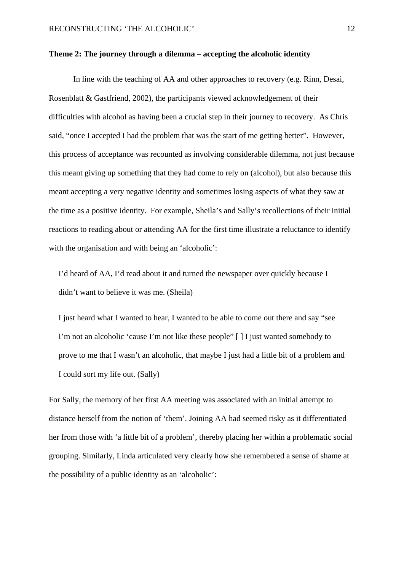## **Theme 2: The journey through a dilemma – accepting the alcoholic identity**

In line with the teaching of AA and other approaches to recovery (e.g. Rinn, Desai, Rosenblatt & Gastfriend, 2002), the participants viewed acknowledgement of their difficulties with alcohol as having been a crucial step in their journey to recovery. As Chris said, "once I accepted I had the problem that was the start of me getting better". However, this process of acceptance was recounted as involving considerable dilemma, not just because this meant giving up something that they had come to rely on (alcohol), but also because this meant accepting a very negative identity and sometimes losing aspects of what they saw at the time as a positive identity. For example, Sheila's and Sally's recollections of their initial reactions to reading about or attending AA for the first time illustrate a reluctance to identify with the organisation and with being an 'alcoholic':

I'd heard of AA, I'd read about it and turned the newspaper over quickly because I didn't want to believe it was me. (Sheila)

I just heard what I wanted to hear, I wanted to be able to come out there and say "see I'm not an alcoholic 'cause I'm not like these people" [ ] I just wanted somebody to prove to me that I wasn't an alcoholic, that maybe I just had a little bit of a problem and I could sort my life out. (Sally)

For Sally, the memory of her first AA meeting was associated with an initial attempt to distance herself from the notion of 'them'. Joining AA had seemed risky as it differentiated her from those with 'a little bit of a problem', thereby placing her within a problematic social grouping. Similarly, Linda articulated very clearly how she remembered a sense of shame at the possibility of a public identity as an 'alcoholic':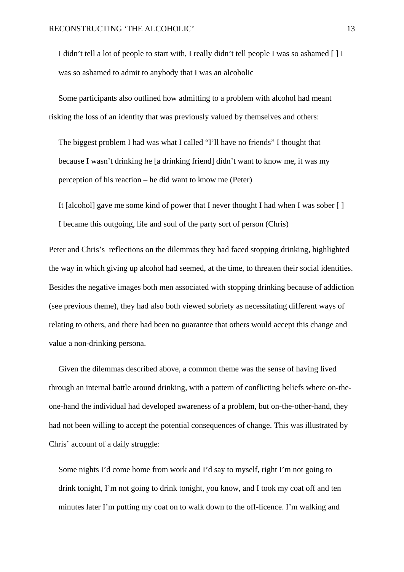I didn't tell a lot of people to start with, I really didn't tell people I was so ashamed [ ] I was so ashamed to admit to anybody that I was an alcoholic

Some participants also outlined how admitting to a problem with alcohol had meant risking the loss of an identity that was previously valued by themselves and others:

The biggest problem I had was what I called "I'll have no friends" I thought that because I wasn't drinking he [a drinking friend] didn't want to know me, it was my perception of his reaction – he did want to know me (Peter)

It [alcohol] gave me some kind of power that I never thought I had when I was sober [ ] I became this outgoing, life and soul of the party sort of person (Chris)

Peter and Chris's reflections on the dilemmas they had faced stopping drinking, highlighted the way in which giving up alcohol had seemed, at the time, to threaten their social identities. Besides the negative images both men associated with stopping drinking because of addiction (see previous theme), they had also both viewed sobriety as necessitating different ways of relating to others, and there had been no guarantee that others would accept this change and value a non-drinking persona.

Given the dilemmas described above, a common theme was the sense of having lived through an internal battle around drinking, with a pattern of conflicting beliefs where on-theone-hand the individual had developed awareness of a problem, but on-the-other-hand, they had not been willing to accept the potential consequences of change. This was illustrated by Chris' account of a daily struggle:

Some nights I'd come home from work and I'd say to myself, right I'm not going to drink tonight, I'm not going to drink tonight, you know, and I took my coat off and ten minutes later I'm putting my coat on to walk down to the off-licence. I'm walking and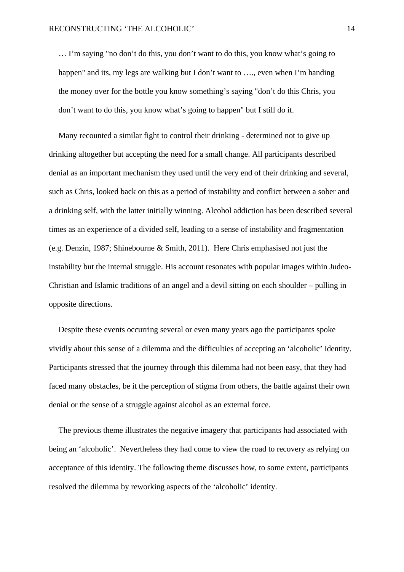… I'm saying "no don't do this, you don't want to do this, you know what's going to happen" and its, my legs are walking but I don't want to ..., even when I'm handing the money over for the bottle you know something's saying "don't do this Chris, you don't want to do this, you know what's going to happen" but I still do it.

Many recounted a similar fight to control their drinking - determined not to give up drinking altogether but accepting the need for a small change. All participants described denial as an important mechanism they used until the very end of their drinking and several, such as Chris, looked back on this as a period of instability and conflict between a sober and a drinking self, with the latter initially winning. Alcohol addiction has been described several times as an experience of a divided self, leading to a sense of instability and fragmentation (e.g. Denzin, 1987; Shinebourne & Smith, 2011). Here Chris emphasised not just the instability but the internal struggle. His account resonates with popular images within Judeo-Christian and Islamic traditions of an angel and a devil sitting on each shoulder – pulling in opposite directions.

Despite these events occurring several or even many years ago the participants spoke vividly about this sense of a dilemma and the difficulties of accepting an 'alcoholic' identity. Participants stressed that the journey through this dilemma had not been easy, that they had faced many obstacles, be it the perception of stigma from others, the battle against their own denial or the sense of a struggle against alcohol as an external force.

The previous theme illustrates the negative imagery that participants had associated with being an 'alcoholic'. Nevertheless they had come to view the road to recovery as relying on acceptance of this identity. The following theme discusses how, to some extent, participants resolved the dilemma by reworking aspects of the 'alcoholic' identity.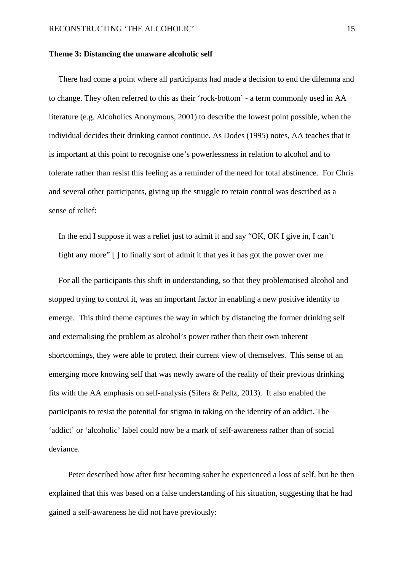#### **Theme 3: Distancing the unaware alcoholic self**

There had come a point where all participants had made a decision to end the dilemma and to change. They often referred to this as their 'rock-bottom' - a term commonly used in AA literature (e.g. Alcoholics Anonymous, 2001) to describe the lowest point possible, when the individual decides their drinking cannot continue. As Dodes (1995) notes, AA teaches that it is important at this point to recognise one's powerlessness in relation to alcohol and to tolerate rather than resist this feeling as a reminder of the need for total abstinence. For Chris and several other participants, giving up the struggle to retain control was described as a sense of relief:

In the end I suppose it was a relief just to admit it and say "OK, OK I give in, I can't fight any more" [ ] to finally sort of admit it that yes it has got the power over me

For all the participants this shift in understanding, so that they problematised alcohol and stopped trying to control it, was an important factor in enabling a new positive identity to emerge. This third theme captures the way in which by distancing the former drinking self and externalising the problem as alcohol's power rather than their own inherent shortcomings, they were able to protect their current view of themselves. This sense of an emerging more knowing self that was newly aware of the reality of their previous drinking fits with the AA emphasis on self-analysis (Sifers & Peltz, 2013). It also enabled the participants to resist the potential for stigma in taking on the identity of an addict. The 'addict' or 'alcoholic' label could now be a mark of self-awareness rather than of social deviance.

Peter described how after first becoming sober he experienced a loss of self, but he then explained that this was based on a false understanding of his situation, suggesting that he had gained a self-awareness he did not have previously: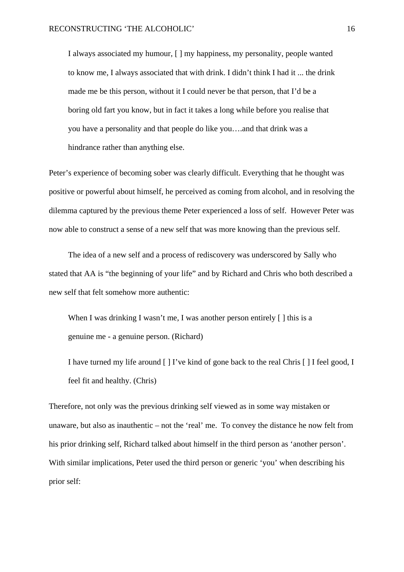I always associated my humour, [ ] my happiness, my personality, people wanted to know me, I always associated that with drink. I didn't think I had it ... the drink made me be this person, without it I could never be that person, that I'd be a boring old fart you know, but in fact it takes a long while before you realise that you have a personality and that people do like you….and that drink was a hindrance rather than anything else.

Peter's experience of becoming sober was clearly difficult. Everything that he thought was positive or powerful about himself, he perceived as coming from alcohol, and in resolving the dilemma captured by the previous theme Peter experienced a loss of self. However Peter was now able to construct a sense of a new self that was more knowing than the previous self.

The idea of a new self and a process of rediscovery was underscored by Sally who stated that AA is "the beginning of your life" and by Richard and Chris who both described a new self that felt somehow more authentic:

When I was drinking I wasn't me, I was another person entirely [ ] this is a genuine me - a genuine person. (Richard)

I have turned my life around [ ] I've kind of gone back to the real Chris [ ] I feel good, I feel fit and healthy. (Chris)

Therefore, not only was the previous drinking self viewed as in some way mistaken or unaware, but also as inauthentic – not the 'real' me. To convey the distance he now felt from his prior drinking self, Richard talked about himself in the third person as 'another person'. With similar implications, Peter used the third person or generic 'you' when describing his prior self: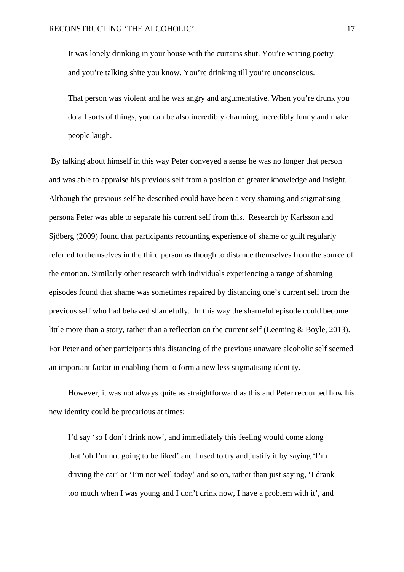It was lonely drinking in your house with the curtains shut. You're writing poetry and you're talking shite you know. You're drinking till you're unconscious.

That person was violent and he was angry and argumentative. When you're drunk you do all sorts of things, you can be also incredibly charming, incredibly funny and make people laugh.

By talking about himself in this way Peter conveyed a sense he was no longer that person and was able to appraise his previous self from a position of greater knowledge and insight. Although the previous self he described could have been a very shaming and stigmatising persona Peter was able to separate his current self from this. Research by Karlsson and Sjöberg (2009) found that participants recounting experience of shame or guilt regularly referred to themselves in the third person as though to distance themselves from the source of the emotion. Similarly other research with individuals experiencing a range of shaming episodes found that shame was sometimes repaired by distancing one's current self from the previous self who had behaved shamefully. In this way the shameful episode could become little more than a story, rather than a reflection on the current self (Leeming & Boyle, 2013). For Peter and other participants this distancing of the previous unaware alcoholic self seemed an important factor in enabling them to form a new less stigmatising identity.

However, it was not always quite as straightforward as this and Peter recounted how his new identity could be precarious at times:

I'd say 'so I don't drink now', and immediately this feeling would come along that 'oh I'm not going to be liked' and I used to try and justify it by saying 'I'm driving the car' or 'I'm not well today' and so on, rather than just saying, 'I drank too much when I was young and I don't drink now, I have a problem with it', and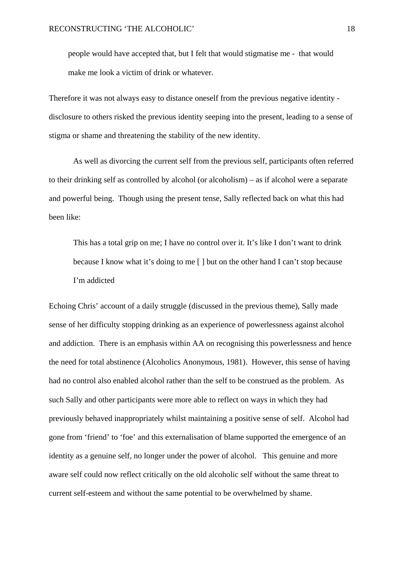people would have accepted that, but I felt that would stigmatise me - that would make me look a victim of drink or whatever.

Therefore it was not always easy to distance oneself from the previous negative identity disclosure to others risked the previous identity seeping into the present, leading to a sense of stigma or shame and threatening the stability of the new identity.

As well as divorcing the current self from the previous self, participants often referred to their drinking self as controlled by alcohol (or alcoholism) – as if alcohol were a separate and powerful being. Though using the present tense, Sally reflected back on what this had been like:

This has a total grip on me; I have no control over it. It's like I don't want to drink because I know what it's doing to me [ ] but on the other hand I can't stop because I'm addicted

Echoing Chris' account of a daily struggle (discussed in the previous theme), Sally made sense of her difficulty stopping drinking as an experience of powerlessness against alcohol and addiction. There is an emphasis within AA on recognising this powerlessness and hence the need for total abstinence (Alcoholics Anonymous, 1981). However, this sense of having had no control also enabled alcohol rather than the self to be construed as the problem. As such Sally and other participants were more able to reflect on ways in which they had previously behaved inappropriately whilst maintaining a positive sense of self. Alcohol had gone from 'friend' to 'foe' and this externalisation of blame supported the emergence of an identity as a genuine self, no longer under the power of alcohol. This genuine and more aware self could now reflect critically on the old alcoholic self without the same threat to current self-esteem and without the same potential to be overwhelmed by shame.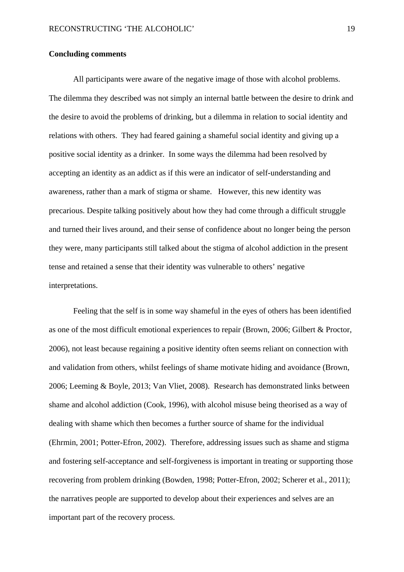#### **Concluding comments**

All participants were aware of the negative image of those with alcohol problems. The dilemma they described was not simply an internal battle between the desire to drink and the desire to avoid the problems of drinking, but a dilemma in relation to social identity and relations with others. They had feared gaining a shameful social identity and giving up a positive social identity as a drinker. In some ways the dilemma had been resolved by accepting an identity as an addict as if this were an indicator of self-understanding and awareness, rather than a mark of stigma or shame. However, this new identity was precarious. Despite talking positively about how they had come through a difficult struggle and turned their lives around, and their sense of confidence about no longer being the person they were, many participants still talked about the stigma of alcohol addiction in the present tense and retained a sense that their identity was vulnerable to others' negative interpretations.

Feeling that the self is in some way shameful in the eyes of others has been identified as one of the most difficult emotional experiences to repair (Brown, 2006; Gilbert & Proctor, 2006), not least because regaining a positive identity often seems reliant on connection with and validation from others, whilst feelings of shame motivate hiding and avoidance (Brown, 2006; Leeming & Boyle, 2013; Van Vliet, 2008). Research has demonstrated links between shame and alcohol addiction (Cook, 1996), with alcohol misuse being theorised as a way of dealing with shame which then becomes a further source of shame for the individual (Ehrmin, 2001; Potter-Efron, 2002). Therefore, addressing issues such as shame and stigma and fostering self-acceptance and self-forgiveness is important in treating or supporting those recovering from problem drinking (Bowden, 1998; Potter-Efron, 2002; Scherer et al., 2011); the narratives people are supported to develop about their experiences and selves are an important part of the recovery process.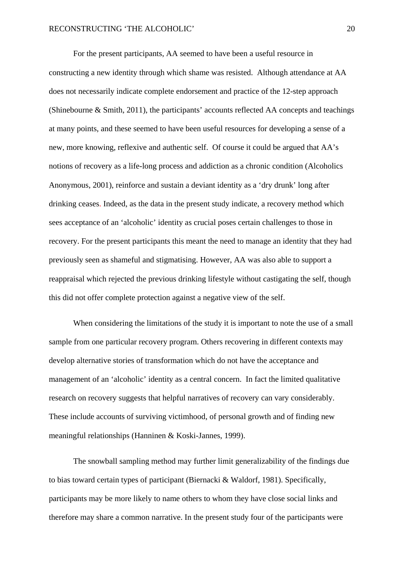For the present participants, AA seemed to have been a useful resource in constructing a new identity through which shame was resisted. Although attendance at AA does not necessarily indicate complete endorsement and practice of the 12-step approach (Shinebourne & Smith, 2011), the participants' accounts reflected AA concepts and teachings at many points, and these seemed to have been useful resources for developing a sense of a new, more knowing, reflexive and authentic self. Of course it could be argued that AA's notions of recovery as a life-long process and addiction as a chronic condition (Alcoholics Anonymous, 2001), reinforce and sustain a deviant identity as a 'dry drunk' long after drinking ceases. Indeed, as the data in the present study indicate, a recovery method which sees acceptance of an 'alcoholic' identity as crucial poses certain challenges to those in recovery. For the present participants this meant the need to manage an identity that they had previously seen as shameful and stigmatising. However, AA was also able to support a reappraisal which rejected the previous drinking lifestyle without castigating the self, though this did not offer complete protection against a negative view of the self.

When considering the limitations of the study it is important to note the use of a small sample from one particular recovery program. Others recovering in different contexts may develop alternative stories of transformation which do not have the acceptance and management of an 'alcoholic' identity as a central concern. In fact the limited qualitative research on recovery suggests that helpful narratives of recovery can vary considerably. These include accounts of surviving victimhood, of personal growth and of finding new meaningful relationships (Hanninen & Koski-Jannes, 1999).

The snowball sampling method may further limit generalizability of the findings due to bias toward certain types of participant (Biernacki & Waldorf, 1981). Specifically, participants may be more likely to name others to whom they have close social links and therefore may share a common narrative. In the present study four of the participants were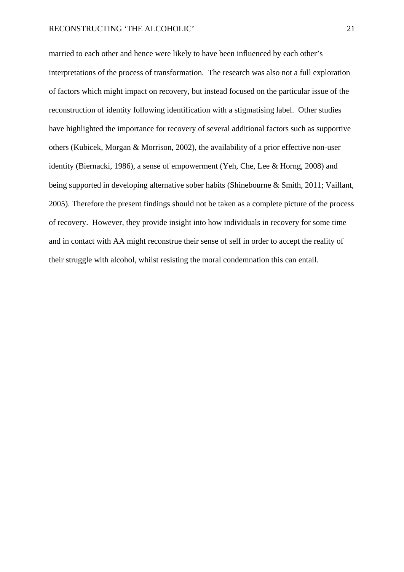married to each other and hence were likely to have been influenced by each other's interpretations of the process of transformation. The research was also not a full exploration of factors which might impact on recovery, but instead focused on the particular issue of the reconstruction of identity following identification with a stigmatising label. Other studies have highlighted the importance for recovery of several additional factors such as supportive others (Kubicek, Morgan & Morrison, 2002), the availability of a prior effective non-user identity (Biernacki, 1986), a sense of empowerment (Yeh, Che, Lee & Horng, 2008) and being supported in developing alternative sober habits (Shinebourne & Smith, 2011; Vaillant, 2005). Therefore the present findings should not be taken as a complete picture of the process of recovery. However, they provide insight into how individuals in recovery for some time and in contact with AA might reconstrue their sense of self in order to accept the reality of their struggle with alcohol, whilst resisting the moral condemnation this can entail.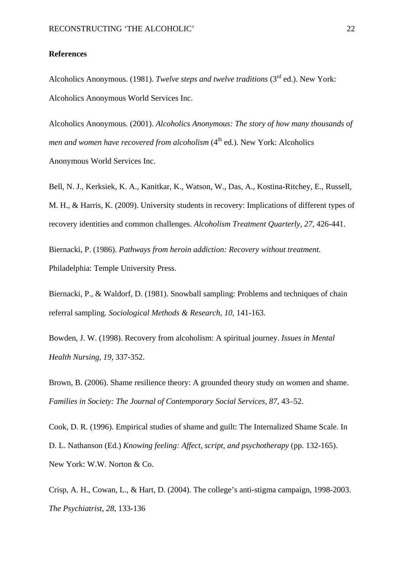#### **References**

Alcoholics Anonymous. (1981). *Twelve steps and twelve traditions* (3rd ed.). New York: Alcoholics Anonymous World Services Inc.

Alcoholics Anonymous. (2001). *Alcoholics Anonymous: The story of how many thousands of men and women have recovered from alcoholism* (4<sup>th</sup> ed.). New York: Alcoholics Anonymous World Services Inc.

Bell, N. J., Kerksiek, K. A., Kanitkar, K., Watson, W., Das, A., Kostina-Ritchey, E., Russell, M. H., & Harris, K. (2009). University students in recovery: Implications of different types of recovery identities and common challenges. *Alcoholism Treatment Quarterly, 27*, 426-441.

Biernacki, P. (1986). *Pathways from heroin addiction: Recovery without treatment.* Philadelphia: Temple University Press.

Biernacki, P., & Waldorf, D. (1981). Snowball sampling: Problems and techniques of chain referral sampling. *Sociological Methods & Research, 10*, 141-163.

Bowden, J. W. (1998). Recovery from alcoholism: A spiritual journey. *Issues in Mental Health Nursing, 19*, 337-352.

Brown, B. (2006). Shame resilience theory: A grounded theory study on women and shame. *Families in Society: The Journal of Contemporary Social Services, 87*, 43–52.

Cook, D. R. (1996). Empirical studies of shame and guilt: The Internalized Shame Scale. In D. L. Nathanson (Ed.) *Knowing feeling: Affect, script, and psychotherapy* (pp. 132-165). New York: W.W. Norton & Co.

Crisp, A. H., Cowan, L., & Hart, D. (2004). The college's anti-stigma campaign, 1998-2003. *The Psychiatrist, 28*, 133-136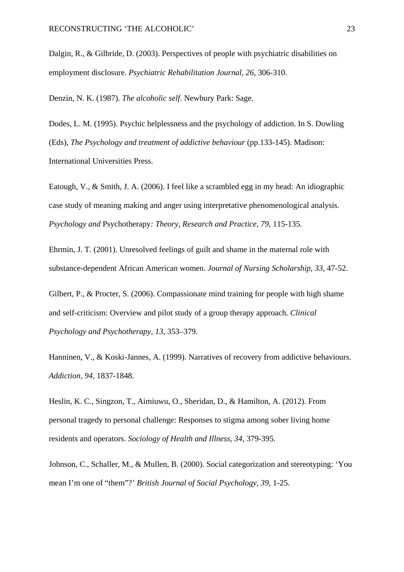Dalgin, R., & Gilbride, D. (2003). Perspectives of people with psychiatric disabilities on employment disclosure. *Psychiatric Rehabilitation Journal, 26,* 306-310.

Denzin, N. K. (1987). *The alcoholic self*. Newbury Park: Sage.

Dodes, L. M. (1995). Psychic helplessness and the psychology of addiction. In S. Dowling (Eds), *The Psychology and treatment of addictive behaviour* (pp.133-145). Madison: International Universities Press.

Eatough, V., & Smith, J. A. (2006). I feel like a scrambled egg in my head: An idiographic case study of meaning making and anger using interpretative phenomenological analysis. *Psychology and* Psychotherapy*: Theory, Research and Practice, 79,* 115-135.

Ehrmin, J. T. (2001). Unresolved feelings of guilt and shame in the maternal role with substance-dependent African American women. *Journal of Nursing Scholarship, 33*, 47-52.

Gilbert, P., & Procter, S. (2006). Compassionate mind training for people with high shame and self-criticism: Overview and pilot study of a group therapy approach. *Clinical Psychology and Psychotherapy, 13*, 353–379.

Hanninen, V., & Koski-Jannes, A. (1999). Narratives of recovery from addictive behaviours. *Addiction, 94,* 1837-1848.

Heslin, K. C., Singzon, T., Aimiuwu, O., Sheridan, D., & Hamilton, A. (2012). From personal tragedy to personal challenge: Responses to stigma among sober living home residents and operators. *Sociology of Health and Illness, 34*, 379-395.

Johnson, C., Schaller, M., & Mullen, B. (2000). Social categorization and stereotyping: 'You mean I'm one of "them"?' *British Journal of Social Psychology, 39,* 1-25.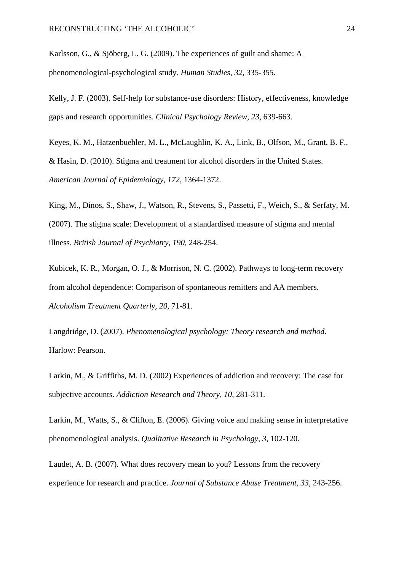Karlsson, G., & Sjöberg, L. G. (2009). The experiences of guilt and shame: A phenomenological-psychological study. *Human Studies, 32*, 335-355.

Kelly, J. F. (2003). Self-help for substance-use disorders: History, effectiveness, knowledge gaps and research opportunities. *Clinical Psychology Review, 23*, 639-663.

Keyes, K. M., Hatzenbuehler, M. L., McLaughlin, K. A., Link, B., Olfson, M., Grant, B. F., & Hasin, D. (2010). Stigma and treatment for alcohol disorders in the United States. *American Journal of Epidemiology, 172*, 1364-1372.

King, M., Dinos, S., Shaw, J., Watson, R., Stevens, S., Passetti, F., Weich, S., & Serfaty, M. (2007). The stigma scale: Development of a standardised measure of stigma and mental illness. *British Journal of Psychiatry, 190*, 248-254.

Kubicek, K. R., Morgan, O. J., & Morrison, N. C. (2002). Pathways to long-term recovery from alcohol dependence: Comparison of spontaneous remitters and AA members. *Alcoholism Treatment Quarterly, 20*, 71-81.

Langdridge, D. (2007). *Phenomenological psychology: Theory research and method*. Harlow: Pearson.

Larkin, M., & Griffiths, M. D. (2002) Experiences of addiction and recovery: The case for subjective accounts. *Addiction Research and Theory, 10*, 281-311.

Larkin, M., Watts, S., & Clifton, E. (2006). Giving voice and making sense in interpretative phenomenological analysis. *Qualitative Research in Psychology, 3*, 102-120.

Laudet, A. B. (2007). What does recovery mean to you? Lessons from the recovery experience for research and practice. *Journal of Substance Abuse Treatment, 33*, 243-256.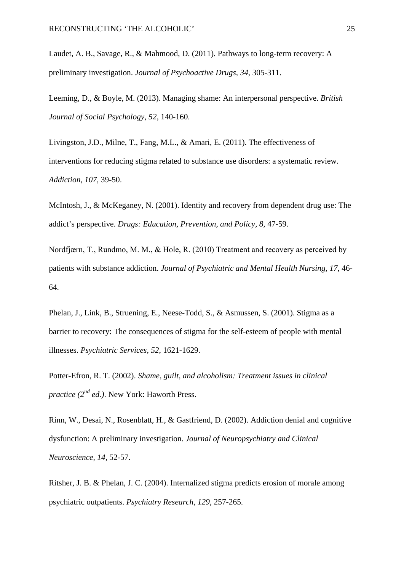Laudet, A. B., Savage, R., & Mahmood, D. (2011). Pathways to long-term recovery: A preliminary investigation. *Journal of Psychoactive Drugs, 34*, 305-311.

Leeming, D., & Boyle, M. (2013). Managing shame: An interpersonal perspective. *British Journal of Social Psychology, 52*, 140-160.

Livingston, J.D., Milne, T., Fang, M.L., & Amari, E. (2011). The effectiveness of interventions for reducing stigma related to substance use disorders: a systematic review. *Addiction, 107,* 39-50.

McIntosh, J., & McKeganey, N. (2001). Identity and recovery from dependent drug use: The addict's perspective. *Drugs: Education, Prevention, and Policy, 8*, 47-59.

Nordfiærn, T., Rundmo, M. M., & Hole, R. (2010) Treatment and recovery as perceived by patients with substance addiction. *Journal of Psychiatric and Mental Health Nursing, 17*, 46- 64.

Phelan, J., Link, B., Struening, E., Neese-Todd, S., & Asmussen, S. (2001). Stigma as a barrier to recovery: The consequences of stigma for the self-esteem of people with mental illnesses. *Psychiatric Services, 52*, 1621-1629.

Potter-Efron, R. T. (2002). *Shame, guilt, and alcoholism: Treatment issues in clinical practice (2nd ed.)*. New York: Haworth Press.

Rinn, W., Desai, N., Rosenblatt, H., & Gastfriend, D. (2002). Addiction denial and cognitive dysfunction: A preliminary investigation. *Journal of Neuropsychiatry and Clinical Neuroscience, 14*, 52-57.

Ritsher, J. B. & Phelan, J. C. (2004). Internalized stigma predicts erosion of morale among psychiatric outpatients. *Psychiatry Research, 129*, 257-265.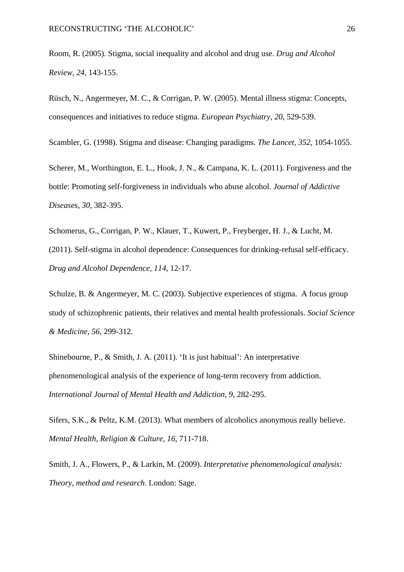Room, R. (2005). Stigma, social inequality and alcohol and drug use. *Drug and Alcohol Review, 24*, 143-155.

Rüsch, N., Angermeyer, M. C., & Corrigan, P. W. (2005). Mental illness stigma: Concepts, consequences and initiatives to reduce stigma. *European Psychiatry, 20*, 529-539.

Scambler, G. (1998). Stigma and disease: Changing paradigms. *The Lancet, 352*, 1054-1055.

Scherer, M., Worthington, E. L., Hook, J. N., & Campana, K. L. (2011). Forgiveness and the bottle: Promoting self-forgiveness in individuals who abuse alcohol. *Journal of Addictive Diseases, 30*, 382-395.

Schomerus, G., Corrigan, P. W., Klauer, T., Kuwert, P., Freyberger, H. J., & Lucht, M. (2011). Self-stigma in alcohol dependence: Consequences for drinking-refusal self-efficacy. *Drug and Alcohol Dependence, 114*, 12-17.

Schulze, B. & Angermeyer, M. C. (2003). Subjective experiences of stigma. A focus group study of schizophrenic patients, their relatives and mental health professionals. *Social Science & Medicine, 56,* 299-312.

Shinebourne, P., & Smith, J. A. (2011). 'It is just habitual': An interpretative phenomenological analysis of the experience of long-term recovery from addiction. *International Journal of Mental Health and Addiction, 9*, 282-295.

Sifers, S.K., & Peltz, K.M. (2013). What members of alcoholics anonymous really believe. *Mental Health, Religion & Culture, 16,* 711-718.

Smith, J. A., Flowers, P., & Larkin, M. (2009). *Interpretative phenomenological analysis: Theory, method and research*. London: Sage.